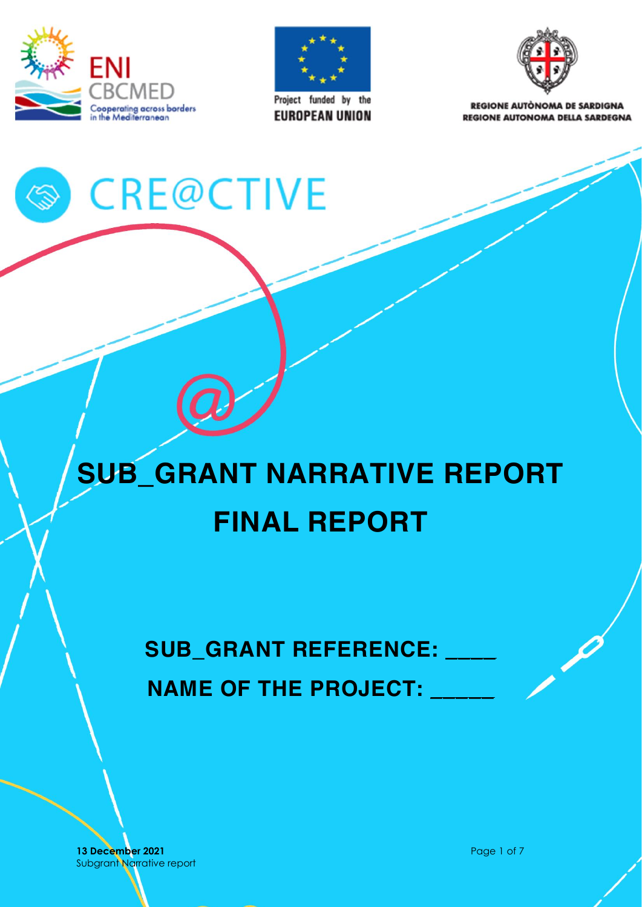

S CRE@CTIVE



**EUROPEAN UNION** 



**REGIONE AUTÒNOMA DE SARDIGNA REGIONE AUTONOMA DELLA SARDEGNA** 

# **SUB\_GRANT NARRATIVE REPORT**

# **FINAL REPORT**

SUB\_GRANT REFERENCE: **NAME OF THE PROJECT:** 

**13 December 2021 Page 1 of 7 Page 1 of 7** Subgrant Narrative report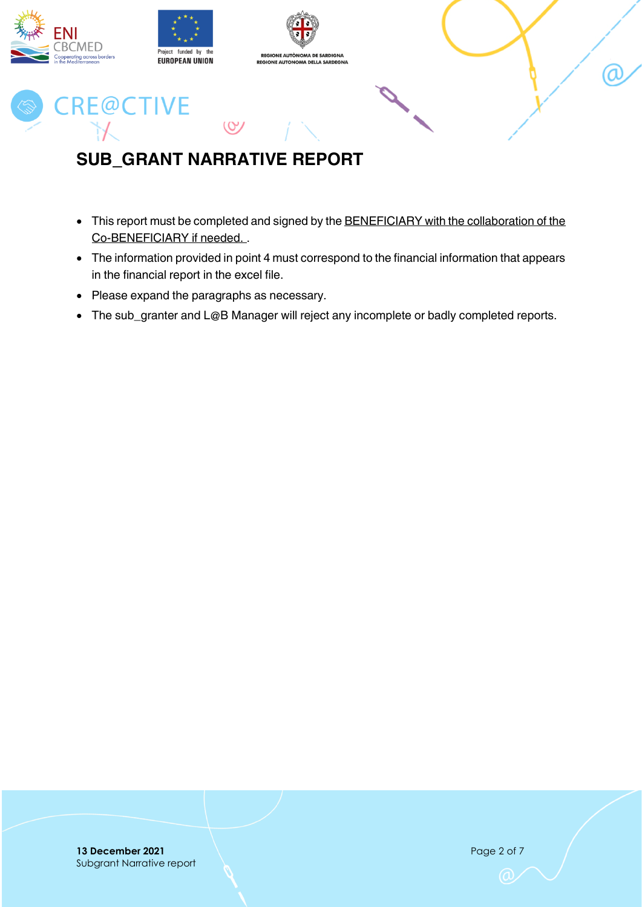

# <span id="page-1-0"></span>**SUB\_GRANT NARRATIVE REPORT**

- This report must be completed and signed by the BENEFICIARY with the collaboration of the Co-BENEFICIARY if needed. .
- The information provided in point 4 must correspond to the financial information that appears in the financial report in the excel file.
- Please expand the paragraphs as necessary.
- The sub\_granter and L@B Manager will reject any incomplete or badly completed reports.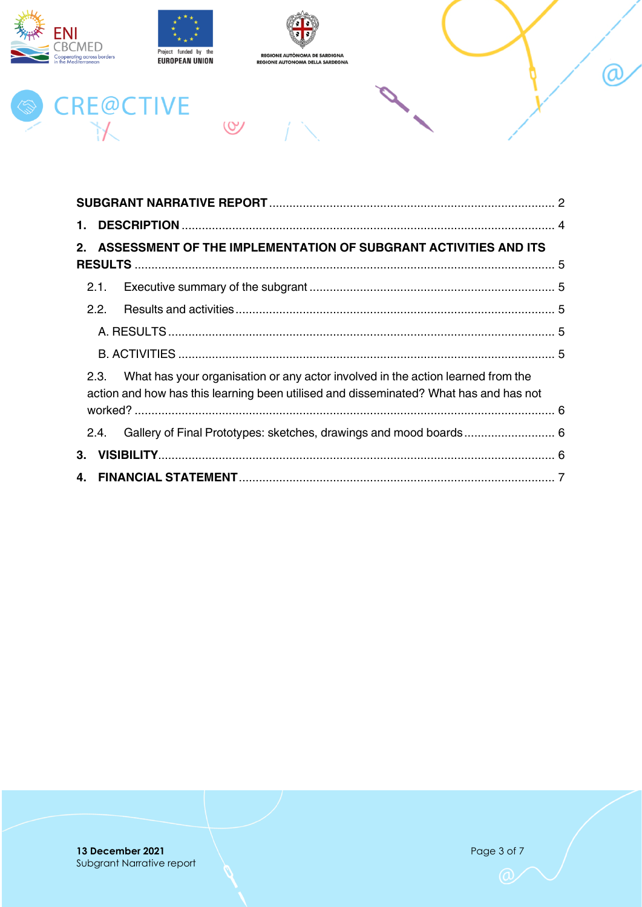



 $(8)$ 





| 2.2. |                                                                                                                                                                                                                                                                                                                     |
|------|---------------------------------------------------------------------------------------------------------------------------------------------------------------------------------------------------------------------------------------------------------------------------------------------------------------------|
|      |                                                                                                                                                                                                                                                                                                                     |
|      |                                                                                                                                                                                                                                                                                                                     |
| 2.3. |                                                                                                                                                                                                                                                                                                                     |
|      |                                                                                                                                                                                                                                                                                                                     |
| 2.4. |                                                                                                                                                                                                                                                                                                                     |
|      |                                                                                                                                                                                                                                                                                                                     |
|      |                                                                                                                                                                                                                                                                                                                     |
|      | 2. ASSESSMENT OF THE IMPLEMENTATION OF SUBGRANT ACTIVITIES AND ITS<br>What has your organisation or any actor involved in the action learned from the<br>action and how has this learning been utilised and disseminated? What has and has not<br>Gallery of Final Prototypes: sketches, drawings and mood boards 6 |

Page 3 of 7

@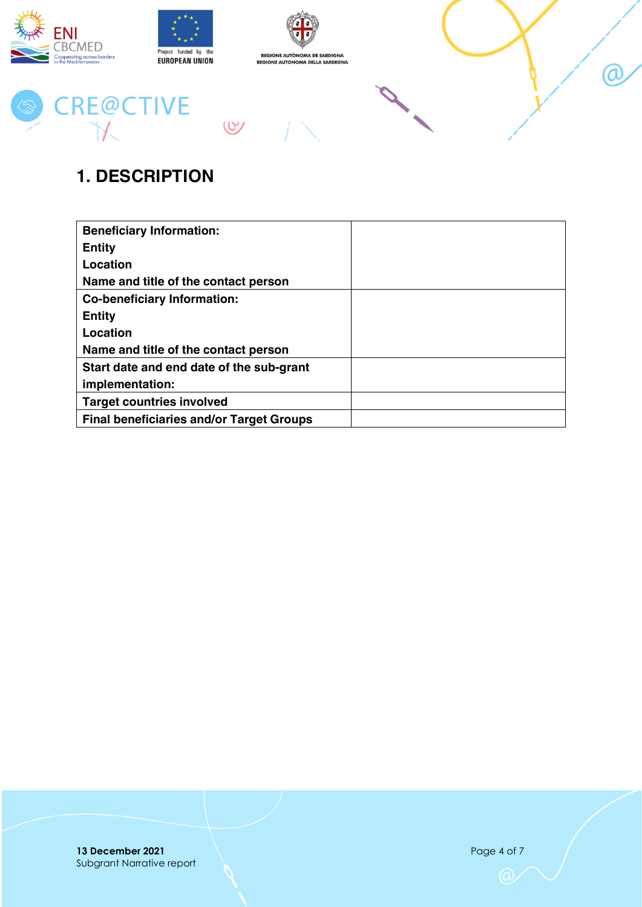

# <span id="page-3-0"></span>**1. DESCRIPTION**

| <b>Beneficiary Information:</b>                 |  |
|-------------------------------------------------|--|
| <b>Entity</b>                                   |  |
| Location                                        |  |
| Name and title of the contact person            |  |
| <b>Co-beneficiary Information:</b>              |  |
| <b>Entity</b>                                   |  |
| Location                                        |  |
| Name and title of the contact person            |  |
| Start date and end date of the sub-grant        |  |
| implementation:                                 |  |
| <b>Target countries involved</b>                |  |
| <b>Final beneficiaries and/or Target Groups</b> |  |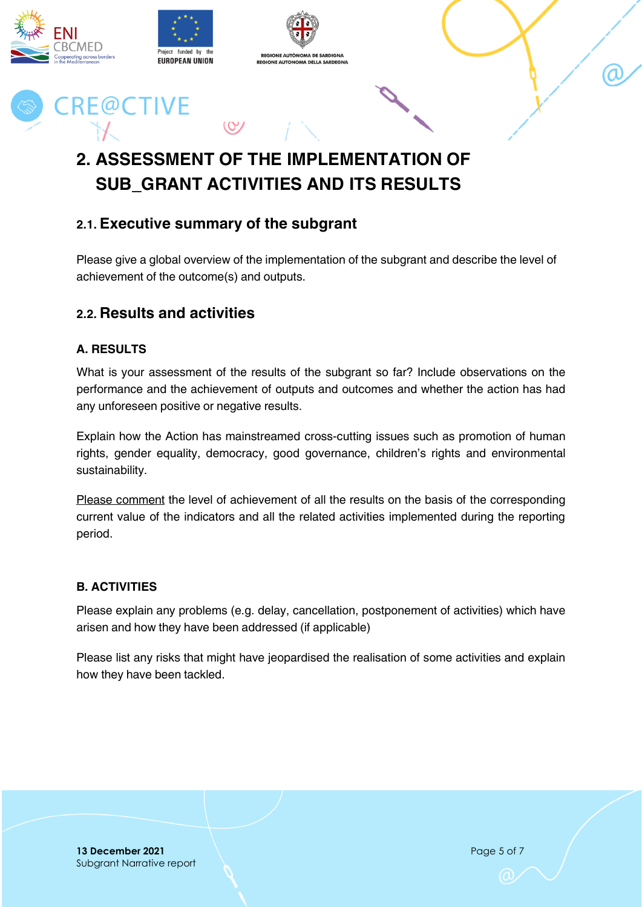

# <span id="page-4-0"></span>**2. ASSESSMENT OF THE IMPLEMENTATION OF SUB\_GRANT ACTIVITIES AND ITS RESULTS**

### <span id="page-4-1"></span>**2.1. Executive summary of the subgrant**

Please give a global overview of the implementation of the subgrant and describe the level of achievement of the outcome(s) and outputs.

### <span id="page-4-2"></span>**2.2. Results and activities**

### <span id="page-4-3"></span>**A. RESULTS**

What is your assessment of the results of the subgrant so far? Include observations on the performance and the achievement of outputs and outcomes and whether the action has had any unforeseen positive or negative results.

Explain how the Action has mainstreamed cross-cutting issues such as promotion of human rights, gender equality, democracy, good governance, children's rights and environmental sustainability.

Please comment the level of achievement of all the results on the basis of the corresponding current value of the indicators and all the related activities implemented during the reporting period.

### <span id="page-4-4"></span>**B. ACTIVITIES**

Please explain any problems (e.g. delay, cancellation, postponement of activities) which have arisen and how they have been addressed (if applicable)

Please list any risks that might have jeopardised the realisation of some activities and explain how they have been tackled.

**13 December 2021** Page 5 of 7 Subgrant Narrative report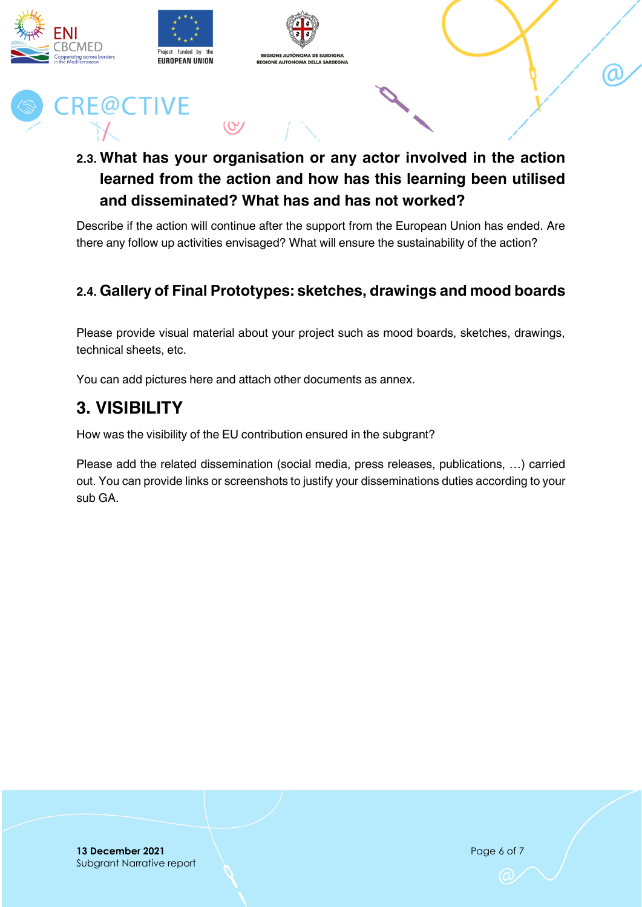



 $\omega$ 





# <span id="page-5-0"></span>**2.3. What has your organisation or any actor involved in the action learned from the action and how has this learning been utilised and disseminated? What has and has not worked?**

Describe if the action will continue after the support from the European Union has ended. Are there any follow up activities envisaged? What will ensure the sustainability of the action?

## <span id="page-5-1"></span>**2.4. Gallery of Final Prototypes: sketches, drawings and mood boards**

Please provide visual material about your project such as mood boards, sketches, drawings, technical sheets, etc.

You can add pictures here and attach other documents as annex.

# <span id="page-5-2"></span>**3. VISIBILITY**

How was the visibility of the EU contribution ensured in the subgrant?

Please add the related dissemination (social media, press releases, publications, …) carried out. You can provide links or screenshots to justify your disseminations duties according to your sub GA.

**13 December 2021 Page 6 of 7** Subgrant Narrative report